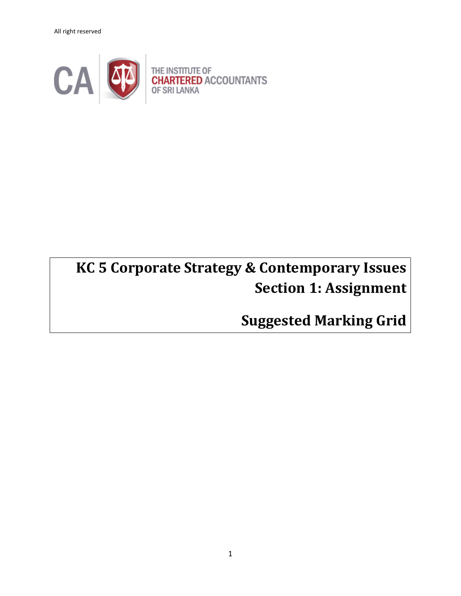All right reserved



# **KC 5 Corporate Strategy & Contemporary Issues Section 1: Assignment**

**Suggested Marking Grid**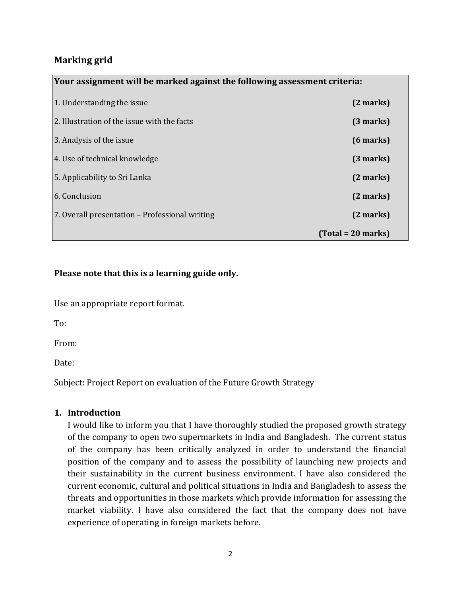## **Marking grid**

| Your assignment will be marked against the following assessment criteria: |                    |
|---------------------------------------------------------------------------|--------------------|
| 1. Understanding the issue                                                | (2 marks)          |
| 2. Illustration of the issue with the facts                               | (3 marks)          |
| 3. Analysis of the issue                                                  | $(6$ marks $)$     |
| 4. Use of technical knowledge                                             | (3 marks)          |
| 5. Applicability to Sri Lanka                                             | (2 marks)          |
| 6. Conclusion                                                             | (2 marks)          |
| 7. Overall presentation – Professional writing                            | (2 marks)          |
|                                                                           | $Total = 20 marks$ |

## **Please note that this is a learning guide only.**

Use an appropriate report format.

To:

From:

Date:

Subject: Project Report on evaluation of the Future Growth Strategy

#### **1. Introduction**

I would like to inform you that I have thoroughly studied the proposed growth strategy of the company to open two supermarkets in India and Bangladesh. The current status of the company has been critically analyzed in order to understand the financial position of the company and to assess the possibility of launching new projects and their sustainability in the current business environment. I have also considered the current economic, cultural and political situations in India and Bangladesh to assess the threats and opportunities in those markets which provide information for assessing the market viability. I have also considered the fact that the company does not have experience of operating in foreign markets before.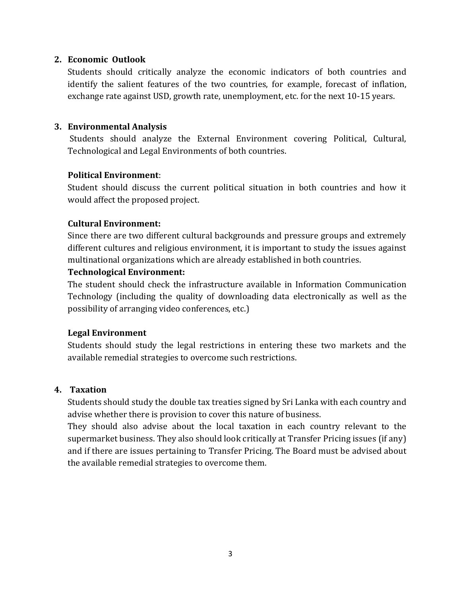### **2. Economic Outlook**

Students should critically analyze the economic indicators of both countries and identify the salient features of the two countries, for example, forecast of inflation, exchange rate against USD, growth rate, unemployment, etc. for the next 10-15 years.

### **3. Environmental Analysis**

Students should analyze the External Environment covering Political, Cultural, Technological and Legal Environments of both countries.

#### **Political Environment**:

Student should discuss the current political situation in both countries and how it would affect the proposed project.

## **Cultural Environment:**

Since there are two different cultural backgrounds and pressure groups and extremely different cultures and religious environment, it is important to study the issues against multinational organizations which are already established in both countries.

## **Technological Environment:**

The student should check the infrastructure available in Information Communication Technology (including the quality of downloading data electronically as well as the possibility of arranging video conferences, etc.)

#### **Legal Environment**

Students should study the legal restrictions in entering these two markets and the available remedial strategies to overcome such restrictions.

#### **4. Taxation**

Students should study the double tax treaties signed by Sri Lanka with each country and advise whether there is provision to cover this nature of business.

They should also advise about the local taxation in each country relevant to the supermarket business. They also should look critically at Transfer Pricing issues (if any) and if there are issues pertaining to Transfer Pricing. The Board must be advised about the available remedial strategies to overcome them.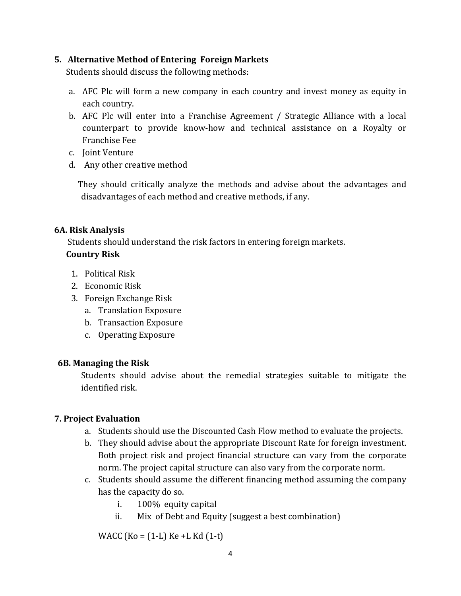#### **5. Alternative Method of Entering Foreign Markets**

Students should discuss the following methods:

- a. AFC Plc will form a new company in each country and invest money as equity in each country.
- b. AFC Plc will enter into a Franchise Agreement / Strategic Alliance with a local counterpart to provide know-how and technical assistance on a Royalty or Franchise Fee
- c. Joint Venture
- d. Any other creative method

 They should critically analyze the methods and advise about the advantages and disadvantages of each method and creative methods, if any.

## **6A. Risk Analysis**

Students should understand the risk factors in entering foreign markets.

## **Country Risk**

- 1. Political Risk
- 2. Economic Risk
- 3. Foreign Exchange Risk
	- a. Translation Exposure
	- b. Transaction Exposure
	- c. Operating Exposure

#### **6B. Managing the Risk**

Students should advise about the remedial strategies suitable to mitigate the identified risk.

## **7. Project Evaluation**

- a. Students should use the Discounted Cash Flow method to evaluate the projects.
- b. They should advise about the appropriate Discount Rate for foreign investment. Both project risk and project financial structure can vary from the corporate norm. The project capital structure can also vary from the corporate norm.
- c. Students should assume the different financing method assuming the company has the capacity do so.
	- i. 100% equity capital
	- ii. Mix of Debt and Equity (suggest a best combination)

WACC (Ko =  $(1-L)$  Ke +L Kd  $(1-t)$ )